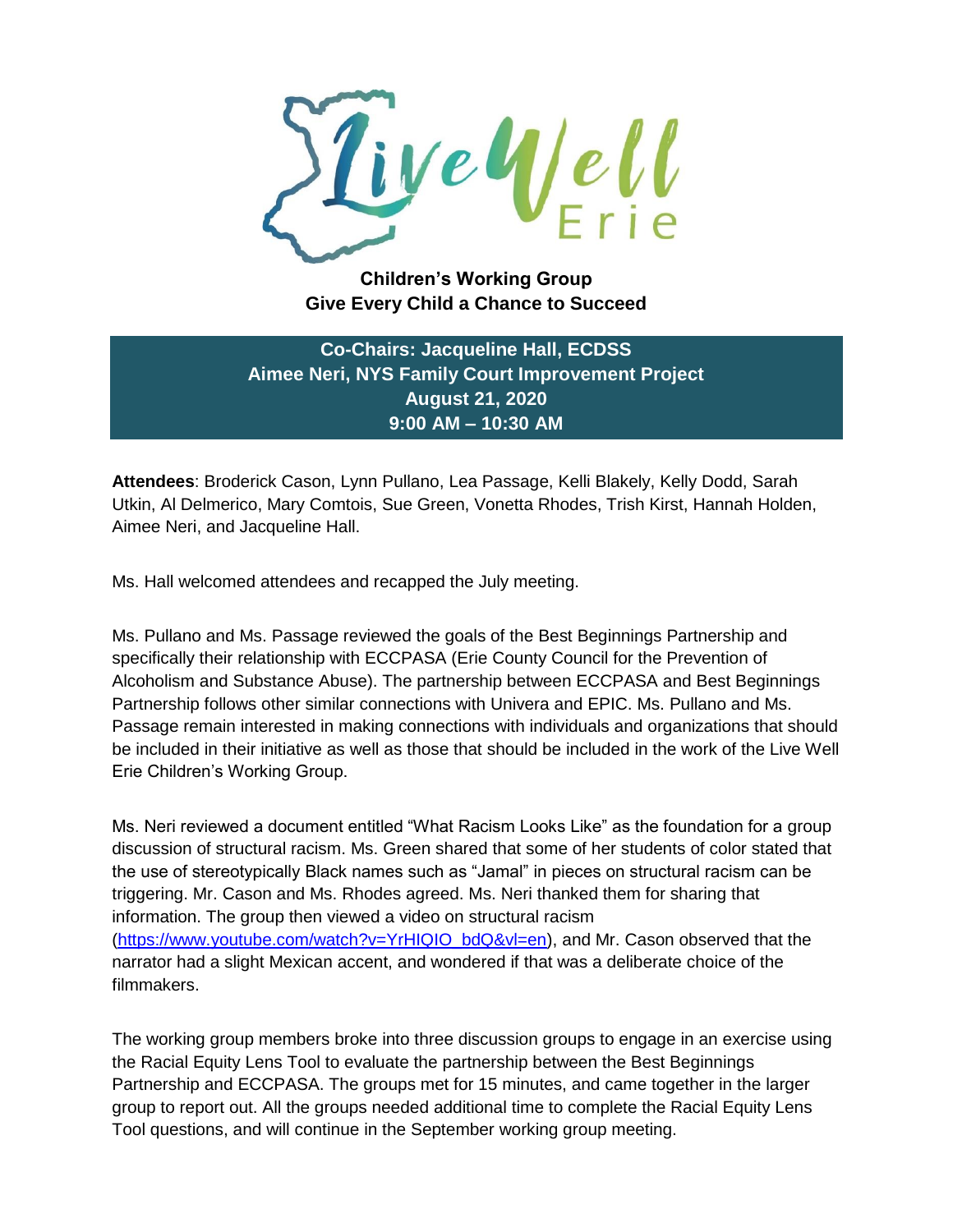

**Children's Working Group Give Every Child a Chance to Succeed**

**Co-Chairs: Jacqueline Hall, ECDSS Aimee Neri, NYS Family Court Improvement Project August 21, 2020 9:00 AM – 10:30 AM**

**Attendees**: Broderick Cason, Lynn Pullano, Lea Passage, Kelli Blakely, Kelly Dodd, Sarah Utkin, Al Delmerico, Mary Comtois, Sue Green, Vonetta Rhodes, Trish Kirst, Hannah Holden, Aimee Neri, and Jacqueline Hall.

Ms. Hall welcomed attendees and recapped the July meeting.

Ms. Pullano and Ms. Passage reviewed the goals of the Best Beginnings Partnership and specifically their relationship with ECCPASA (Erie County Council for the Prevention of Alcoholism and Substance Abuse). The partnership between ECCPASA and Best Beginnings Partnership follows other similar connections with Univera and EPIC. Ms. Pullano and Ms. Passage remain interested in making connections with individuals and organizations that should be included in their initiative as well as those that should be included in the work of the Live Well Erie Children's Working Group.

Ms. Neri reviewed a document entitled "What Racism Looks Like" as the foundation for a group discussion of structural racism. Ms. Green shared that some of her students of color stated that the use of stereotypically Black names such as "Jamal" in pieces on structural racism can be triggering. Mr. Cason and Ms. Rhodes agreed. Ms. Neri thanked them for sharing that information. The group then viewed a video on structural racism [\(https://www.youtube.com/watch?v=YrHIQIO\\_bdQ&vl=en\)](https://www.youtube.com/watch?v=YrHIQIO_bdQ&vl=en), and Mr. Cason observed that the narrator had a slight Mexican accent, and wondered if that was a deliberate choice of the filmmakers.

The working group members broke into three discussion groups to engage in an exercise using the Racial Equity Lens Tool to evaluate the partnership between the Best Beginnings Partnership and ECCPASA. The groups met for 15 minutes, and came together in the larger group to report out. All the groups needed additional time to complete the Racial Equity Lens Tool questions, and will continue in the September working group meeting.